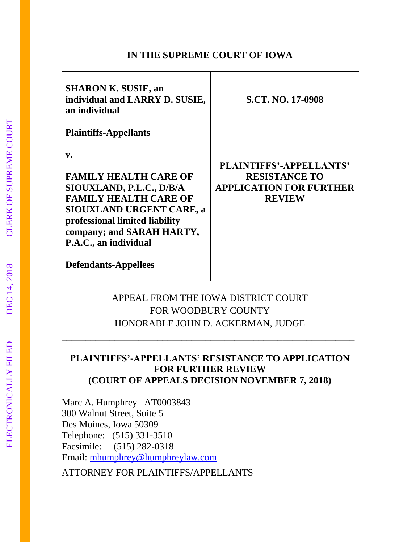#### **IN THE SUPREME COURT OF IOWA**

| <b>SHARON K. SUSIE, an</b><br>individual and LARRY D. SUSIE,<br>an individual                                                                                                                                             | <b>S.CT. NO. 17-0908</b>                                                                                  |
|---------------------------------------------------------------------------------------------------------------------------------------------------------------------------------------------------------------------------|-----------------------------------------------------------------------------------------------------------|
| <b>Plaintiffs-Appellants</b>                                                                                                                                                                                              |                                                                                                           |
| v.<br><b>FAMILY HEALTH CARE OF</b><br>SIOUXLAND, P.L.C., D/B/A<br><b>FAMILY HEALTH CARE OF</b><br><b>SIOUXLAND URGENT CARE, a</b><br>professional limited liability<br>company; and SARAH HARTY,<br>P.A.C., an individual | <b>PLAINTIFFS'-APPELLANTS'</b><br><b>RESISTANCE TO</b><br><b>APPLICATION FOR FURTHER</b><br><b>REVIEW</b> |
| <b>Defendants-Appellees</b>                                                                                                                                                                                               |                                                                                                           |

## APPEAL FROM THE IOWA DISTRICT COURT FOR WOODBURY COUNTY HONORABLE JOHN D. ACKERMAN, JUDGE

\_\_\_\_\_\_\_\_\_\_\_\_\_\_\_\_\_\_\_\_\_\_\_\_\_\_\_\_\_\_\_\_\_\_\_\_\_\_\_\_\_\_\_\_\_\_\_\_\_\_\_\_\_\_\_\_\_\_\_\_\_

### **PLAINTIFFS'-APPELLANTS' RESISTANCE TO APPLICATION FOR FURTHER REVIEW (COURT OF APPEALS DECISION NOVEMBER 7, 2018)**

Marc A. Humphrey AT0003843 300 Walnut Street, Suite 5 Des Moines, Iowa 50309 Telephone: (515) 331-3510 Facsimile: (515) 282-0318 Email: [mhumphrey@humphreylaw.com](mailto:mhumphrey@humphreylaw.com)

ATTORNEY FOR PLAINTIFFS/APPELLANTS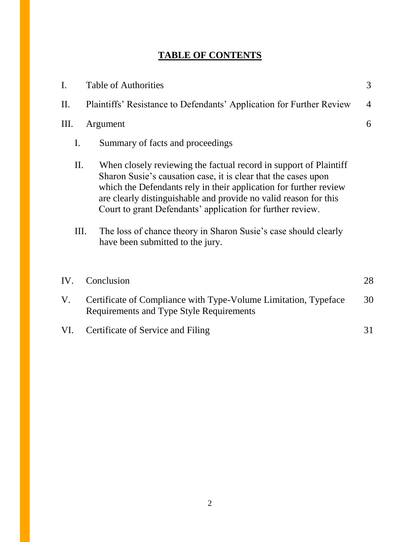# **TABLE OF CONTENTS**

| I.   |    | <b>Table of Authorities</b>                                                                                                                                                                                                                                                                                                                                                                                                                       | 3              |
|------|----|---------------------------------------------------------------------------------------------------------------------------------------------------------------------------------------------------------------------------------------------------------------------------------------------------------------------------------------------------------------------------------------------------------------------------------------------------|----------------|
| II.  |    | Plaintiffs' Resistance to Defendants' Application for Further Review                                                                                                                                                                                                                                                                                                                                                                              | $\overline{4}$ |
| III. |    | Argument                                                                                                                                                                                                                                                                                                                                                                                                                                          | 6              |
| I.   |    | Summary of facts and proceedings                                                                                                                                                                                                                                                                                                                                                                                                                  |                |
| II.  | Ш. | When closely reviewing the factual record in support of Plaintiff<br>Sharon Susie's causation case, it is clear that the cases upon<br>which the Defendants rely in their application for further review<br>are clearly distinguishable and provide no valid reason for this<br>Court to grant Defendants' application for further review.<br>The loss of chance theory in Sharon Susie's case should clearly<br>have been submitted to the jury. |                |
| IV.  |    | Conclusion                                                                                                                                                                                                                                                                                                                                                                                                                                        | 28             |
| V.   |    | Certificate of Compliance with Type-Volume Limitation, Typeface<br>Requirements and Type Style Requirements                                                                                                                                                                                                                                                                                                                                       | 30             |
| VI.  |    | Certificate of Service and Filing                                                                                                                                                                                                                                                                                                                                                                                                                 | 31             |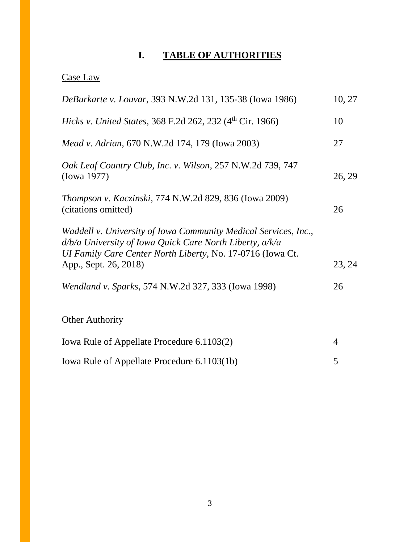# **I. TABLE OF AUTHORITIES**

# Case Law

| <i>DeBurkarte v. Louvar</i> , 393 N.W.2d 131, 135-38 (Iowa 1986)                                                                                                                                                   | 10, 27 |
|--------------------------------------------------------------------------------------------------------------------------------------------------------------------------------------------------------------------|--------|
| <i>Hicks v. United States, 368 F.2d 262, 232 (4th Cir. 1966)</i>                                                                                                                                                   | 10     |
| <i>Mead v. Adrian, 670 N.W.2d 174, 179 (Iowa 2003)</i>                                                                                                                                                             | 27     |
| Oak Leaf Country Club, Inc. v. Wilson, 257 N.W.2d 739, 747<br>(Iowa 1977)                                                                                                                                          | 26, 29 |
| <i>Thompson v. Kaczinski, 774 N.W.2d 829, 836 (Iowa 2009)</i><br>(citations omitted)                                                                                                                               | 26     |
| Waddell v. University of Iowa Community Medical Services, Inc.,<br>d/b/a University of Iowa Quick Care North Liberty, a/k/a<br>UI Family Care Center North Liberty, No. 17-0716 (Iowa Ct.<br>App., Sept. 26, 2018) | 23, 24 |
| Wendland v. Sparks, 574 N.W.2d 327, 333 (Iowa 1998)                                                                                                                                                                | 26     |
| <b>Other Authority</b>                                                                                                                                                                                             |        |
| Iowa Rule of Appellate Procedure 6.1103(2)                                                                                                                                                                         | 4      |
| Iowa Rule of Appellate Procedure 6.1103(1b)                                                                                                                                                                        | 5      |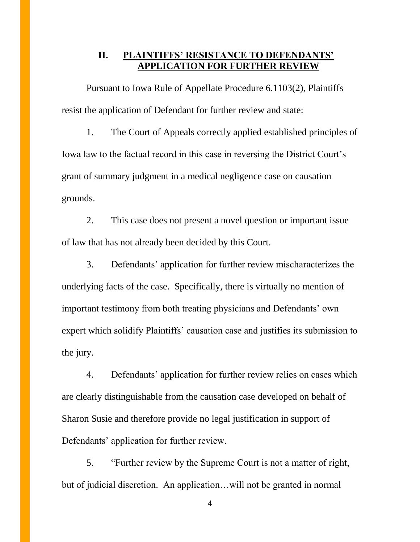### **II. PLAINTIFFS' RESISTANCE TO DEFENDANTS' APPLICATION FOR FURTHER REVIEW**

Pursuant to Iowa Rule of Appellate Procedure 6.1103(2), Plaintiffs resist the application of Defendant for further review and state:

1. The Court of Appeals correctly applied established principles of Iowa law to the factual record in this case in reversing the District Court's grant of summary judgment in a medical negligence case on causation grounds.

2. This case does not present a novel question or important issue of law that has not already been decided by this Court.

3. Defendants' application for further review mischaracterizes the underlying facts of the case. Specifically, there is virtually no mention of important testimony from both treating physicians and Defendants' own expert which solidify Plaintiffs' causation case and justifies its submission to the jury.

4. Defendants' application for further review relies on cases which are clearly distinguishable from the causation case developed on behalf of Sharon Susie and therefore provide no legal justification in support of Defendants' application for further review.

5. "Further review by the Supreme Court is not a matter of right, but of judicial discretion. An application…will not be granted in normal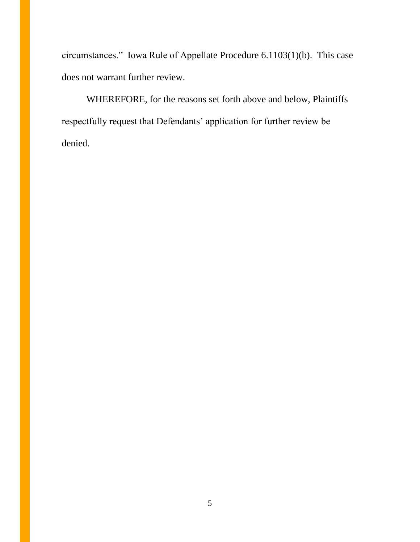circumstances." Iowa Rule of Appellate Procedure 6.1103(1)(b). This case does not warrant further review.

WHEREFORE, for the reasons set forth above and below, Plaintiffs respectfully request that Defendants' application for further review be denied.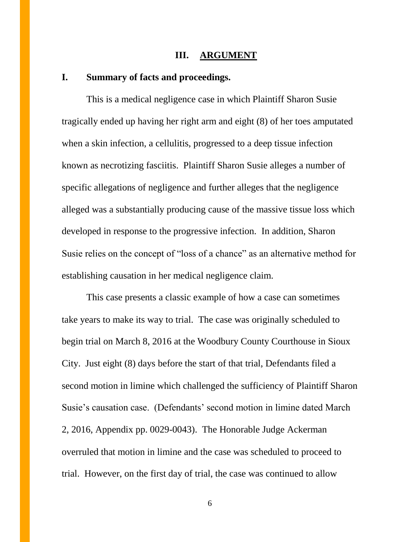#### **III. ARGUMENT**

#### **I. Summary of facts and proceedings.**

This is a medical negligence case in which Plaintiff Sharon Susie tragically ended up having her right arm and eight (8) of her toes amputated when a skin infection, a cellulitis, progressed to a deep tissue infection known as necrotizing fasciitis. Plaintiff Sharon Susie alleges a number of specific allegations of negligence and further alleges that the negligence alleged was a substantially producing cause of the massive tissue loss which developed in response to the progressive infection. In addition, Sharon Susie relies on the concept of "loss of a chance" as an alternative method for establishing causation in her medical negligence claim.

This case presents a classic example of how a case can sometimes take years to make its way to trial. The case was originally scheduled to begin trial on March 8, 2016 at the Woodbury County Courthouse in Sioux City. Just eight (8) days before the start of that trial, Defendants filed a second motion in limine which challenged the sufficiency of Plaintiff Sharon Susie's causation case. (Defendants' second motion in limine dated March 2, 2016, Appendix pp. 0029-0043). The Honorable Judge Ackerman overruled that motion in limine and the case was scheduled to proceed to trial. However, on the first day of trial, the case was continued to allow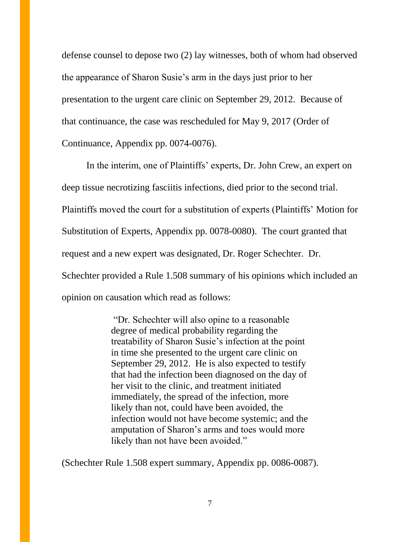defense counsel to depose two (2) lay witnesses, both of whom had observed the appearance of Sharon Susie's arm in the days just prior to her presentation to the urgent care clinic on September 29, 2012. Because of that continuance, the case was rescheduled for May 9, 2017 (Order of Continuance, Appendix pp. 0074-0076).

In the interim, one of Plaintiffs' experts, Dr. John Crew, an expert on deep tissue necrotizing fasciitis infections, died prior to the second trial. Plaintiffs moved the court for a substitution of experts (Plaintiffs' Motion for Substitution of Experts, Appendix pp. 0078-0080). The court granted that request and a new expert was designated, Dr. Roger Schechter. Dr. Schechter provided a Rule 1.508 summary of his opinions which included an opinion on causation which read as follows:

> "Dr. Schechter will also opine to a reasonable degree of medical probability regarding the treatability of Sharon Susie's infection at the point in time she presented to the urgent care clinic on September 29, 2012. He is also expected to testify that had the infection been diagnosed on the day of her visit to the clinic, and treatment initiated immediately, the spread of the infection, more likely than not, could have been avoided, the infection would not have become systemic; and the amputation of Sharon's arms and toes would more likely than not have been avoided."

(Schechter Rule 1.508 expert summary, Appendix pp. 0086-0087).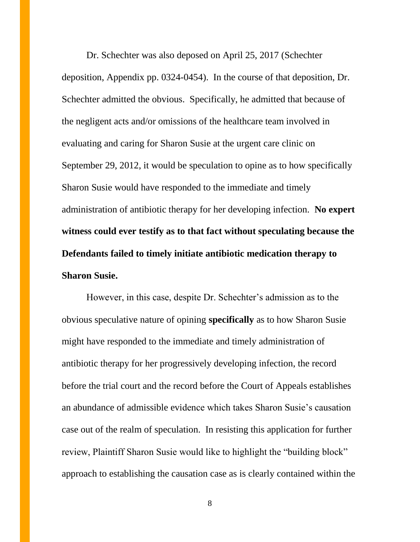Dr. Schechter was also deposed on April 25, 2017 (Schechter deposition, Appendix pp. 0324-0454). In the course of that deposition, Dr. Schechter admitted the obvious. Specifically, he admitted that because of the negligent acts and/or omissions of the healthcare team involved in evaluating and caring for Sharon Susie at the urgent care clinic on September 29, 2012, it would be speculation to opine as to how specifically Sharon Susie would have responded to the immediate and timely administration of antibiotic therapy for her developing infection. **No expert witness could ever testify as to that fact without speculating because the Defendants failed to timely initiate antibiotic medication therapy to Sharon Susie.** 

However, in this case, despite Dr. Schechter's admission as to the obvious speculative nature of opining **specifically** as to how Sharon Susie might have responded to the immediate and timely administration of antibiotic therapy for her progressively developing infection, the record before the trial court and the record before the Court of Appeals establishes an abundance of admissible evidence which takes Sharon Susie's causation case out of the realm of speculation. In resisting this application for further review, Plaintiff Sharon Susie would like to highlight the "building block" approach to establishing the causation case as is clearly contained within the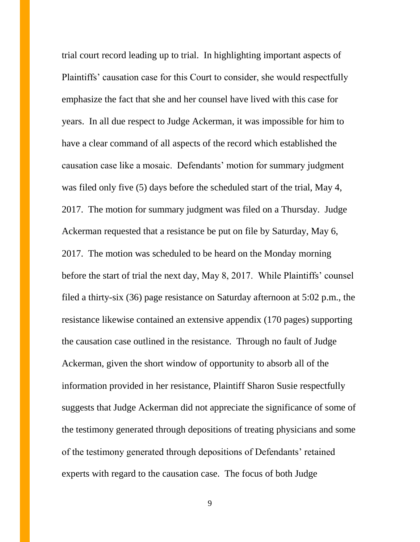trial court record leading up to trial. In highlighting important aspects of Plaintiffs' causation case for this Court to consider, she would respectfully emphasize the fact that she and her counsel have lived with this case for years. In all due respect to Judge Ackerman, it was impossible for him to have a clear command of all aspects of the record which established the causation case like a mosaic. Defendants' motion for summary judgment was filed only five (5) days before the scheduled start of the trial, May 4, 2017. The motion for summary judgment was filed on a Thursday. Judge Ackerman requested that a resistance be put on file by Saturday, May 6, 2017. The motion was scheduled to be heard on the Monday morning before the start of trial the next day, May 8, 2017. While Plaintiffs' counsel filed a thirty-six (36) page resistance on Saturday afternoon at 5:02 p.m., the resistance likewise contained an extensive appendix (170 pages) supporting the causation case outlined in the resistance. Through no fault of Judge Ackerman, given the short window of opportunity to absorb all of the information provided in her resistance, Plaintiff Sharon Susie respectfully suggests that Judge Ackerman did not appreciate the significance of some of the testimony generated through depositions of treating physicians and some of the testimony generated through depositions of Defendants' retained experts with regard to the causation case. The focus of both Judge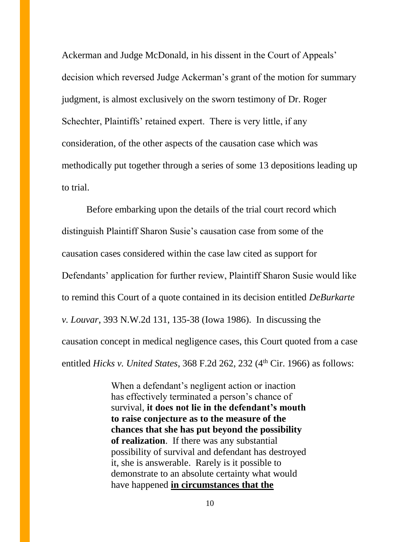Ackerman and Judge McDonald, in his dissent in the Court of Appeals' decision which reversed Judge Ackerman's grant of the motion for summary judgment, is almost exclusively on the sworn testimony of Dr. Roger Schechter, Plaintiffs' retained expert. There is very little, if any consideration, of the other aspects of the causation case which was methodically put together through a series of some 13 depositions leading up to trial.

Before embarking upon the details of the trial court record which distinguish Plaintiff Sharon Susie's causation case from some of the causation cases considered within the case law cited as support for Defendants' application for further review, Plaintiff Sharon Susie would like to remind this Court of a quote contained in its decision entitled *DeBurkarte v. Louvar*, 393 N.W.2d 131, 135-38 (Iowa 1986). In discussing the causation concept in medical negligence cases, this Court quoted from a case entitled *Hicks v. United States*, 368 F.2d 262, 232 (4<sup>th</sup> Cir. 1966) as follows:

> When a defendant's negligent action or inaction has effectively terminated a person's chance of survival, **it does not lie in the defendant's mouth to raise conjecture as to the measure of the chances that she has put beyond the possibility of realization**. If there was any substantial possibility of survival and defendant has destroyed it, she is answerable. Rarely is it possible to demonstrate to an absolute certainty what would have happened **in circumstances that the**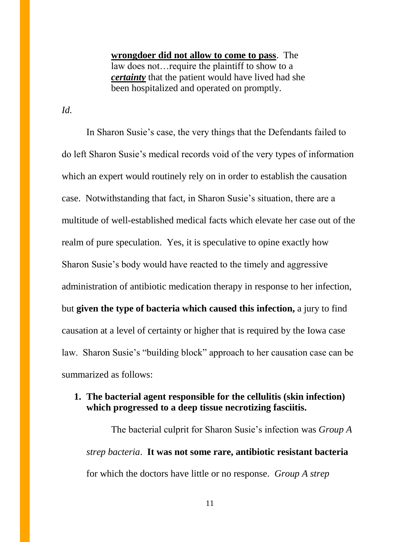**wrongdoer did not allow to come to pass**. The law does not…require the plaintiff to show to a *certainty* that the patient would have lived had she been hospitalized and operated on promptly.

*Id.*

In Sharon Susie's case, the very things that the Defendants failed to do left Sharon Susie's medical records void of the very types of information which an expert would routinely rely on in order to establish the causation case. Notwithstanding that fact, in Sharon Susie's situation, there are a multitude of well-established medical facts which elevate her case out of the realm of pure speculation. Yes, it is speculative to opine exactly how Sharon Susie's body would have reacted to the timely and aggressive administration of antibiotic medication therapy in response to her infection, but **given the type of bacteria which caused this infection,** a jury to find causation at a level of certainty or higher that is required by the Iowa case law. Sharon Susie's "building block" approach to her causation case can be summarized as follows:

#### **1. The bacterial agent responsible for the cellulitis (skin infection) which progressed to a deep tissue necrotizing fasciitis.**

The bacterial culprit for Sharon Susie's infection was *Group A strep bacteria*. **It was not some rare, antibiotic resistant bacteria** for which the doctors have little or no response. *Group A strep*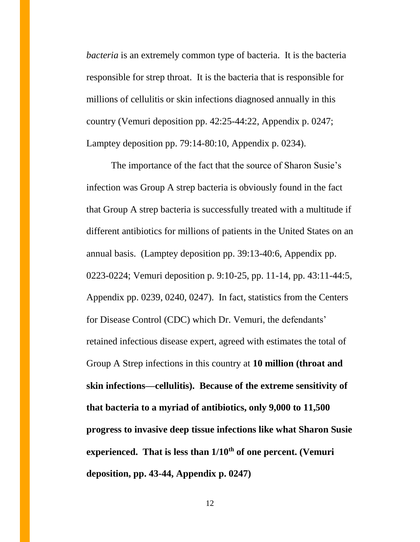*bacteria* is an extremely common type of bacteria. It is the bacteria responsible for strep throat. It is the bacteria that is responsible for millions of cellulitis or skin infections diagnosed annually in this country (Vemuri deposition pp. 42:25-44:22, Appendix p. 0247; Lamptey deposition pp. 79:14-80:10, Appendix p. 0234).

The importance of the fact that the source of Sharon Susie's infection was Group A strep bacteria is obviously found in the fact that Group A strep bacteria is successfully treated with a multitude if different antibiotics for millions of patients in the United States on an annual basis. (Lamptey deposition pp. 39:13-40:6, Appendix pp. 0223-0224; Vemuri deposition p. 9:10-25, pp. 11-14, pp. 43:11-44:5, Appendix pp. 0239, 0240, 0247). In fact, statistics from the Centers for Disease Control (CDC) which Dr. Vemuri, the defendants' retained infectious disease expert, agreed with estimates the total of Group A Strep infections in this country at **10 million (throat and skin infections—cellulitis). Because of the extreme sensitivity of that bacteria to a myriad of antibiotics, only 9,000 to 11,500 progress to invasive deep tissue infections like what Sharon Susie experienced. That is less than 1/10th of one percent. (Vemuri deposition, pp. 43-44, Appendix p. 0247)**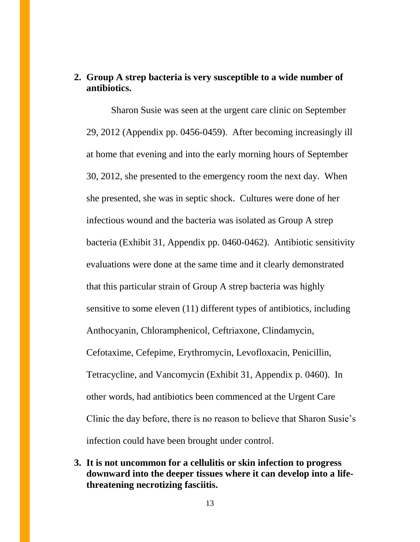### **2. Group A strep bacteria is very susceptible to a wide number of antibiotics.**

Sharon Susie was seen at the urgent care clinic on September 29, 2012 (Appendix pp. 0456-0459). After becoming increasingly ill at home that evening and into the early morning hours of September 30, 2012, she presented to the emergency room the next day. When she presented, she was in septic shock. Cultures were done of her infectious wound and the bacteria was isolated as Group A strep bacteria (Exhibit 31, Appendix pp. 0460-0462). Antibiotic sensitivity evaluations were done at the same time and it clearly demonstrated that this particular strain of Group A strep bacteria was highly sensitive to some eleven (11) different types of antibiotics, including Anthocyanin, Chloramphenicol, Ceftriaxone, Clindamycin, Cefotaxime, Cefepime, Erythromycin, Levofloxacin, Penicillin, Tetracycline, and Vancomycin (Exhibit 31, Appendix p. 0460). In other words, had antibiotics been commenced at the Urgent Care Clinic the day before, there is no reason to believe that Sharon Susie's infection could have been brought under control.

**3. It is not uncommon for a cellulitis or skin infection to progress downward into the deeper tissues where it can develop into a lifethreatening necrotizing fasciitis.**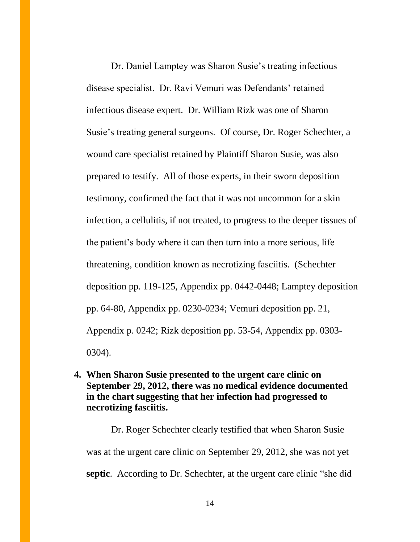Dr. Daniel Lamptey was Sharon Susie's treating infectious disease specialist. Dr. Ravi Vemuri was Defendants' retained infectious disease expert. Dr. William Rizk was one of Sharon Susie's treating general surgeons. Of course, Dr. Roger Schechter, a wound care specialist retained by Plaintiff Sharon Susie, was also prepared to testify. All of those experts, in their sworn deposition testimony, confirmed the fact that it was not uncommon for a skin infection, a cellulitis, if not treated, to progress to the deeper tissues of the patient's body where it can then turn into a more serious, life threatening, condition known as necrotizing fasciitis. (Schechter deposition pp. 119-125, Appendix pp. 0442-0448; Lamptey deposition pp. 64-80, Appendix pp. 0230-0234; Vemuri deposition pp. 21, Appendix p. 0242; Rizk deposition pp. 53-54, Appendix pp. 0303- 0304).

**4. When Sharon Susie presented to the urgent care clinic on September 29, 2012, there was no medical evidence documented in the chart suggesting that her infection had progressed to necrotizing fasciitis.**

Dr. Roger Schechter clearly testified that when Sharon Susie was at the urgent care clinic on September 29, 2012, she was not yet **septic**. According to Dr. Schechter, at the urgent care clinic "she did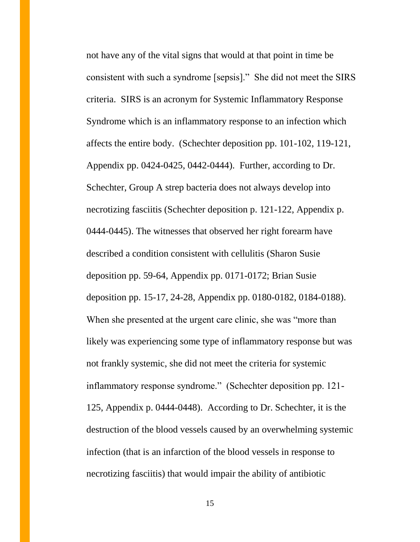not have any of the vital signs that would at that point in time be consistent with such a syndrome [sepsis]." She did not meet the SIRS criteria. SIRS is an acronym for Systemic Inflammatory Response Syndrome which is an inflammatory response to an infection which affects the entire body. (Schechter deposition pp. 101-102, 119-121, Appendix pp. 0424-0425, 0442-0444). Further, according to Dr. Schechter, Group A strep bacteria does not always develop into necrotizing fasciitis (Schechter deposition p. 121-122, Appendix p. 0444-0445). The witnesses that observed her right forearm have described a condition consistent with cellulitis (Sharon Susie deposition pp. 59-64, Appendix pp. 0171-0172; Brian Susie deposition pp. 15-17, 24-28, Appendix pp. 0180-0182, 0184-0188). When she presented at the urgent care clinic, she was "more than likely was experiencing some type of inflammatory response but was not frankly systemic, she did not meet the criteria for systemic inflammatory response syndrome." (Schechter deposition pp. 121- 125, Appendix p. 0444-0448). According to Dr. Schechter, it is the destruction of the blood vessels caused by an overwhelming systemic infection (that is an infarction of the blood vessels in response to necrotizing fasciitis) that would impair the ability of antibiotic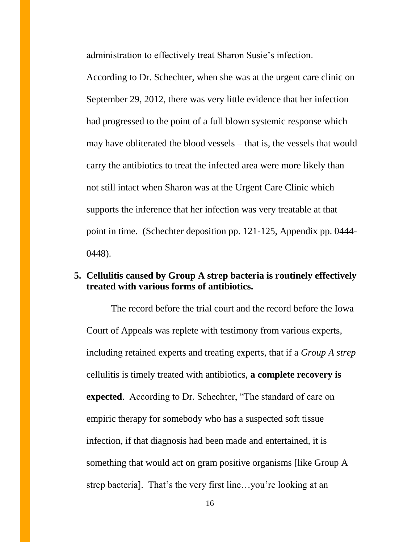administration to effectively treat Sharon Susie's infection.

According to Dr. Schechter, when she was at the urgent care clinic on September 29, 2012, there was very little evidence that her infection had progressed to the point of a full blown systemic response which may have obliterated the blood vessels – that is, the vessels that would carry the antibiotics to treat the infected area were more likely than not still intact when Sharon was at the Urgent Care Clinic which supports the inference that her infection was very treatable at that point in time. (Schechter deposition pp. 121-125, Appendix pp. 0444- 0448).

### **5. Cellulitis caused by Group A strep bacteria is routinely effectively treated with various forms of antibiotics.**

The record before the trial court and the record before the Iowa Court of Appeals was replete with testimony from various experts, including retained experts and treating experts, that if a *Group A strep* cellulitis is timely treated with antibiotics, **a complete recovery is expected**. According to Dr. Schechter, "The standard of care on empiric therapy for somebody who has a suspected soft tissue infection, if that diagnosis had been made and entertained, it is something that would act on gram positive organisms [like Group A strep bacteria]. That's the very first line…you're looking at an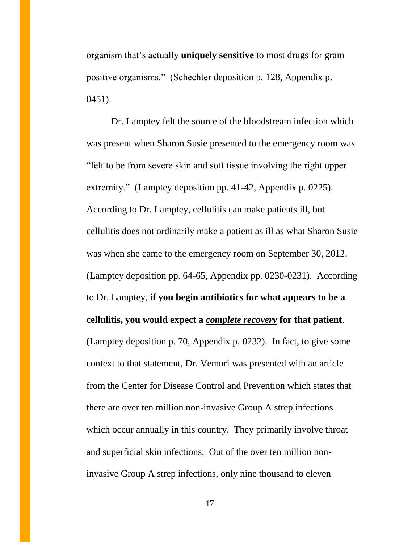organism that's actually **uniquely sensitive** to most drugs for gram positive organisms." (Schechter deposition p. 128, Appendix p. 0451).

Dr. Lamptey felt the source of the bloodstream infection which was present when Sharon Susie presented to the emergency room was "felt to be from severe skin and soft tissue involving the right upper extremity." (Lamptey deposition pp. 41-42, Appendix p. 0225). According to Dr. Lamptey, cellulitis can make patients ill, but cellulitis does not ordinarily make a patient as ill as what Sharon Susie was when she came to the emergency room on September 30, 2012. (Lamptey deposition pp. 64-65, Appendix pp. 0230-0231). According to Dr. Lamptey, **if you begin antibiotics for what appears to be a cellulitis, you would expect a** *complete recovery* **for that patient**. (Lamptey deposition p. 70, Appendix p. 0232). In fact, to give some context to that statement, Dr. Vemuri was presented with an article from the Center for Disease Control and Prevention which states that there are over ten million non-invasive Group A strep infections which occur annually in this country. They primarily involve throat and superficial skin infections. Out of the over ten million noninvasive Group A strep infections, only nine thousand to eleven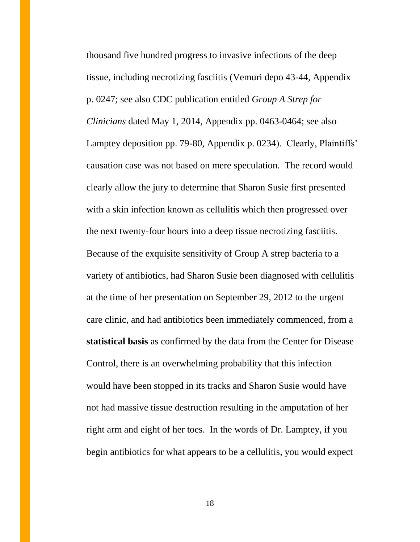thousand five hundred progress to invasive infections of the deep tissue, including necrotizing fasciitis (Vemuri depo 43-44, Appendix p. 0247; see also CDC publication entitled *Group A Strep for Clinicians* dated May 1, 2014, Appendix pp. 0463-0464; see also Lamptey deposition pp. 79-80, Appendix p. 0234). Clearly, Plaintiffs' causation case was not based on mere speculation. The record would clearly allow the jury to determine that Sharon Susie first presented with a skin infection known as cellulitis which then progressed over the next twenty-four hours into a deep tissue necrotizing fasciitis. Because of the exquisite sensitivity of Group A strep bacteria to a variety of antibiotics, had Sharon Susie been diagnosed with cellulitis at the time of her presentation on September 29, 2012 to the urgent care clinic, and had antibiotics been immediately commenced, from a **statistical basis** as confirmed by the data from the Center for Disease Control, there is an overwhelming probability that this infection would have been stopped in its tracks and Sharon Susie would have not had massive tissue destruction resulting in the amputation of her right arm and eight of her toes. In the words of Dr. Lamptey, if you begin antibiotics for what appears to be a cellulitis, you would expect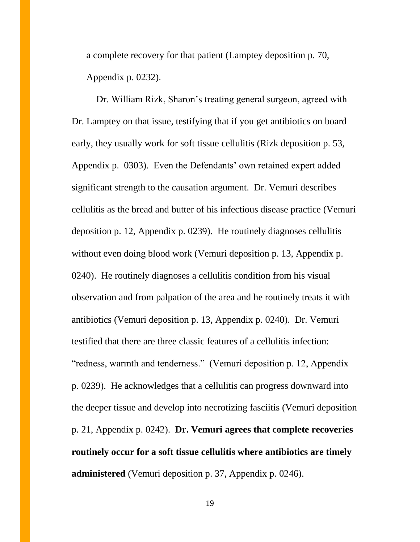a complete recovery for that patient (Lamptey deposition p. 70, Appendix p. 0232).

Dr. William Rizk, Sharon's treating general surgeon, agreed with Dr. Lamptey on that issue, testifying that if you get antibiotics on board early, they usually work for soft tissue cellulitis (Rizk deposition p. 53, Appendix p. 0303). Even the Defendants' own retained expert added significant strength to the causation argument. Dr. Vemuri describes cellulitis as the bread and butter of his infectious disease practice (Vemuri deposition p. 12, Appendix p. 0239). He routinely diagnoses cellulitis without even doing blood work (Vemuri deposition p. 13, Appendix p. 0240). He routinely diagnoses a cellulitis condition from his visual observation and from palpation of the area and he routinely treats it with antibiotics (Vemuri deposition p. 13, Appendix p. 0240). Dr. Vemuri testified that there are three classic features of a cellulitis infection: "redness, warmth and tenderness." (Vemuri deposition p. 12, Appendix p. 0239). He acknowledges that a cellulitis can progress downward into the deeper tissue and develop into necrotizing fasciitis (Vemuri deposition p. 21, Appendix p. 0242). **Dr. Vemuri agrees that complete recoveries routinely occur for a soft tissue cellulitis where antibiotics are timely administered** (Vemuri deposition p. 37, Appendix p. 0246).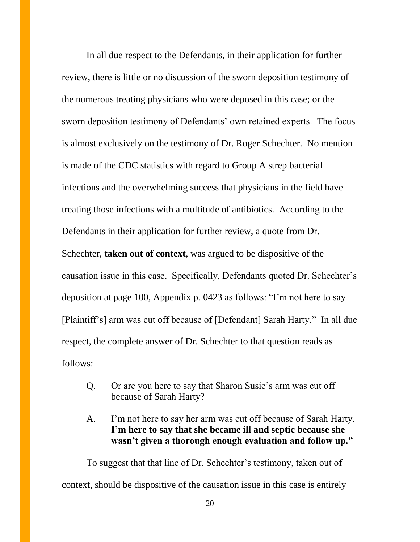In all due respect to the Defendants, in their application for further review, there is little or no discussion of the sworn deposition testimony of the numerous treating physicians who were deposed in this case; or the sworn deposition testimony of Defendants' own retained experts. The focus is almost exclusively on the testimony of Dr. Roger Schechter. No mention is made of the CDC statistics with regard to Group A strep bacterial infections and the overwhelming success that physicians in the field have treating those infections with a multitude of antibiotics. According to the Defendants in their application for further review, a quote from Dr. Schechter, **taken out of context**, was argued to be dispositive of the causation issue in this case. Specifically, Defendants quoted Dr. Schechter's deposition at page 100, Appendix p. 0423 as follows: "I'm not here to say [Plaintiff's] arm was cut off because of [Defendant] Sarah Harty." In all due respect, the complete answer of Dr. Schechter to that question reads as follows:

- Q. Or are you here to say that Sharon Susie's arm was cut off because of Sarah Harty?
- A. I'm not here to say her arm was cut off because of Sarah Harty. **I'm here to say that she became ill and septic because she wasn't given a thorough enough evaluation and follow up."**

To suggest that that line of Dr. Schechter's testimony, taken out of context, should be dispositive of the causation issue in this case is entirely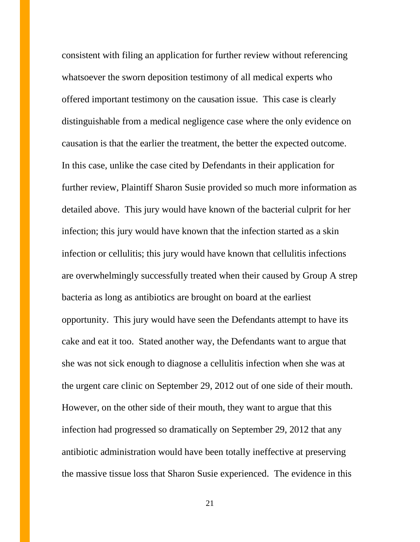consistent with filing an application for further review without referencing whatsoever the sworn deposition testimony of all medical experts who offered important testimony on the causation issue. This case is clearly distinguishable from a medical negligence case where the only evidence on causation is that the earlier the treatment, the better the expected outcome. In this case, unlike the case cited by Defendants in their application for further review, Plaintiff Sharon Susie provided so much more information as detailed above. This jury would have known of the bacterial culprit for her infection; this jury would have known that the infection started as a skin infection or cellulitis; this jury would have known that cellulitis infections are overwhelmingly successfully treated when their caused by Group A strep bacteria as long as antibiotics are brought on board at the earliest opportunity. This jury would have seen the Defendants attempt to have its cake and eat it too. Stated another way, the Defendants want to argue that she was not sick enough to diagnose a cellulitis infection when she was at the urgent care clinic on September 29, 2012 out of one side of their mouth. However, on the other side of their mouth, they want to argue that this infection had progressed so dramatically on September 29, 2012 that any antibiotic administration would have been totally ineffective at preserving the massive tissue loss that Sharon Susie experienced. The evidence in this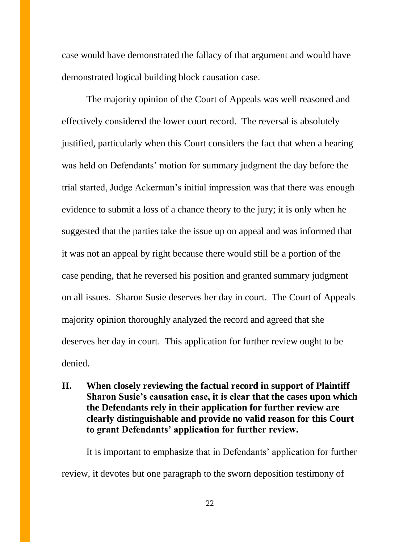case would have demonstrated the fallacy of that argument and would have demonstrated logical building block causation case.

The majority opinion of the Court of Appeals was well reasoned and effectively considered the lower court record. The reversal is absolutely justified, particularly when this Court considers the fact that when a hearing was held on Defendants' motion for summary judgment the day before the trial started, Judge Ackerman's initial impression was that there was enough evidence to submit a loss of a chance theory to the jury; it is only when he suggested that the parties take the issue up on appeal and was informed that it was not an appeal by right because there would still be a portion of the case pending, that he reversed his position and granted summary judgment on all issues. Sharon Susie deserves her day in court. The Court of Appeals majority opinion thoroughly analyzed the record and agreed that she deserves her day in court. This application for further review ought to be denied.

### **II. When closely reviewing the factual record in support of Plaintiff Sharon Susie's causation case, it is clear that the cases upon which the Defendants rely in their application for further review are clearly distinguishable and provide no valid reason for this Court to grant Defendants' application for further review.**

It is important to emphasize that in Defendants' application for further review, it devotes but one paragraph to the sworn deposition testimony of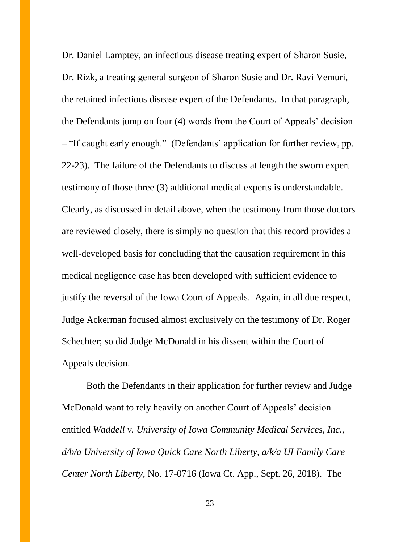Dr. Daniel Lamptey, an infectious disease treating expert of Sharon Susie, Dr. Rizk, a treating general surgeon of Sharon Susie and Dr. Ravi Vemuri, the retained infectious disease expert of the Defendants. In that paragraph, the Defendants jump on four (4) words from the Court of Appeals' decision – "If caught early enough." (Defendants' application for further review, pp. 22-23). The failure of the Defendants to discuss at length the sworn expert testimony of those three (3) additional medical experts is understandable. Clearly, as discussed in detail above, when the testimony from those doctors are reviewed closely, there is simply no question that this record provides a well-developed basis for concluding that the causation requirement in this medical negligence case has been developed with sufficient evidence to justify the reversal of the Iowa Court of Appeals. Again, in all due respect, Judge Ackerman focused almost exclusively on the testimony of Dr. Roger Schechter; so did Judge McDonald in his dissent within the Court of Appeals decision.

Both the Defendants in their application for further review and Judge McDonald want to rely heavily on another Court of Appeals' decision entitled *Waddell v. University of Iowa Community Medical Services, Inc., d/b/a University of Iowa Quick Care North Liberty, a/k/a UI Family Care Center North Liberty,* No. 17-0716 (Iowa Ct. App., Sept. 26, 2018). The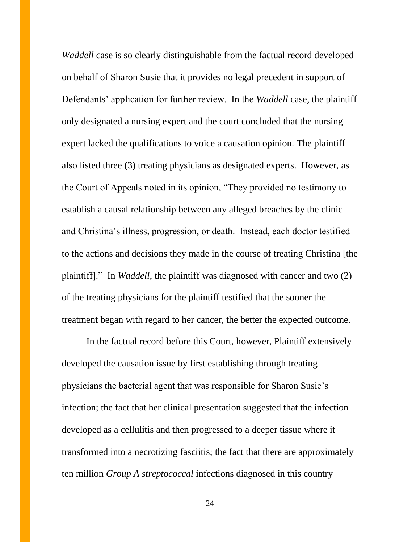*Waddell* case is so clearly distinguishable from the factual record developed on behalf of Sharon Susie that it provides no legal precedent in support of Defendants' application for further review. In the *Waddell* case, the plaintiff only designated a nursing expert and the court concluded that the nursing expert lacked the qualifications to voice a causation opinion. The plaintiff also listed three (3) treating physicians as designated experts. However, as the Court of Appeals noted in its opinion, "They provided no testimony to establish a causal relationship between any alleged breaches by the clinic and Christina's illness, progression, or death. Instead, each doctor testified to the actions and decisions they made in the course of treating Christina [the plaintiff]." In *Waddell*, the plaintiff was diagnosed with cancer and two (2) of the treating physicians for the plaintiff testified that the sooner the treatment began with regard to her cancer, the better the expected outcome.

In the factual record before this Court, however, Plaintiff extensively developed the causation issue by first establishing through treating physicians the bacterial agent that was responsible for Sharon Susie's infection; the fact that her clinical presentation suggested that the infection developed as a cellulitis and then progressed to a deeper tissue where it transformed into a necrotizing fasciitis; the fact that there are approximately ten million *Group A streptococcal* infections diagnosed in this country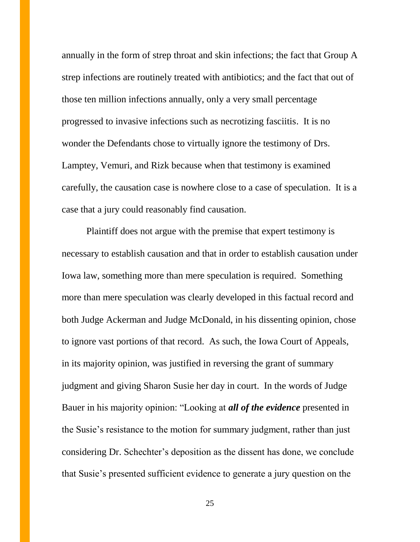annually in the form of strep throat and skin infections; the fact that Group A strep infections are routinely treated with antibiotics; and the fact that out of those ten million infections annually, only a very small percentage progressed to invasive infections such as necrotizing fasciitis. It is no wonder the Defendants chose to virtually ignore the testimony of Drs. Lamptey, Vemuri, and Rizk because when that testimony is examined carefully, the causation case is nowhere close to a case of speculation. It is a case that a jury could reasonably find causation.

Plaintiff does not argue with the premise that expert testimony is necessary to establish causation and that in order to establish causation under Iowa law, something more than mere speculation is required. Something more than mere speculation was clearly developed in this factual record and both Judge Ackerman and Judge McDonald, in his dissenting opinion, chose to ignore vast portions of that record. As such, the Iowa Court of Appeals, in its majority opinion, was justified in reversing the grant of summary judgment and giving Sharon Susie her day in court. In the words of Judge Bauer in his majority opinion: "Looking at *all of the evidence* presented in the Susie's resistance to the motion for summary judgment, rather than just considering Dr. Schechter's deposition as the dissent has done, we conclude that Susie's presented sufficient evidence to generate a jury question on the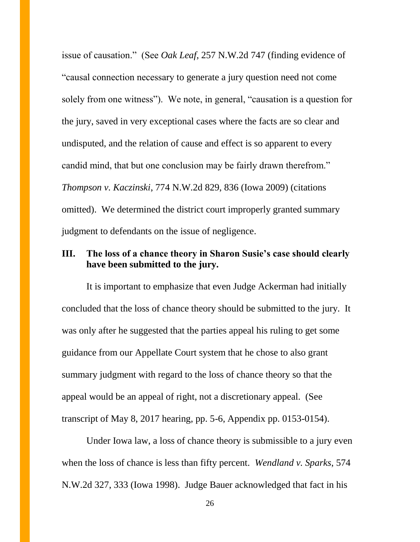issue of causation." (See *Oak Leaf*, 257 N.W.2d 747 (finding evidence of "causal connection necessary to generate a jury question need not come solely from one witness"). We note, in general, "causation is a question for the jury, saved in very exceptional cases where the facts are so clear and undisputed, and the relation of cause and effect is so apparent to every candid mind, that but one conclusion may be fairly drawn therefrom." *Thompson v. Kaczinski*, 774 N.W.2d 829, 836 (Iowa 2009) (citations omitted). We determined the district court improperly granted summary judgment to defendants on the issue of negligence.

### **III. The loss of a chance theory in Sharon Susie's case should clearly have been submitted to the jury.**

It is important to emphasize that even Judge Ackerman had initially concluded that the loss of chance theory should be submitted to the jury. It was only after he suggested that the parties appeal his ruling to get some guidance from our Appellate Court system that he chose to also grant summary judgment with regard to the loss of chance theory so that the appeal would be an appeal of right, not a discretionary appeal. (See transcript of May 8, 2017 hearing, pp. 5-6, Appendix pp. 0153-0154).

Under Iowa law, a loss of chance theory is submissible to a jury even when the loss of chance is less than fifty percent. *Wendland v. Sparks*, 574 N.W.2d 327, 333 (Iowa 1998). Judge Bauer acknowledged that fact in his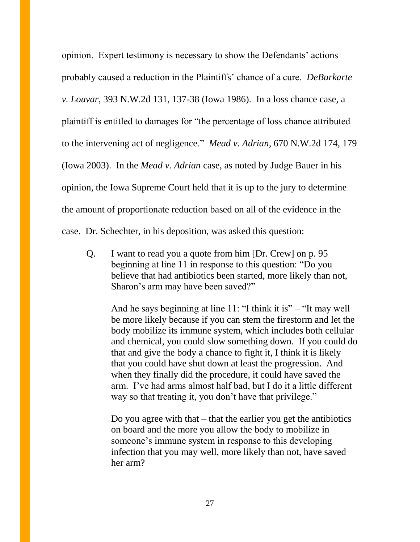opinion. Expert testimony is necessary to show the Defendants' actions probably caused a reduction in the Plaintiffs' chance of a cure. *DeBurkarte v. Louvar*, 393 N.W.2d 131, 137-38 (Iowa 1986). In a loss chance case, a plaintiff is entitled to damages for "the percentage of loss chance attributed to the intervening act of negligence." *Mead v. Adrian*, 670 N.W.2d 174, 179 (Iowa 2003). In the *Mead v. Adrian* case, as noted by Judge Bauer in his opinion, the Iowa Supreme Court held that it is up to the jury to determine the amount of proportionate reduction based on all of the evidence in the case. Dr. Schechter, in his deposition, was asked this question:

Q. I want to read you a quote from him [Dr. Crew] on p. 95 beginning at line 11 in response to this question: "Do you believe that had antibiotics been started, more likely than not, Sharon's arm may have been saved?"

And he says beginning at line 11: "I think it is" – "It may well be more likely because if you can stem the firestorm and let the body mobilize its immune system, which includes both cellular and chemical, you could slow something down. If you could do that and give the body a chance to fight it, I think it is likely that you could have shut down at least the progression. And when they finally did the procedure, it could have saved the arm. I've had arms almost half bad, but I do it a little different way so that treating it, you don't have that privilege."

Do you agree with that  $-$  that the earlier you get the antibiotics on board and the more you allow the body to mobilize in someone's immune system in response to this developing infection that you may well, more likely than not, have saved her arm?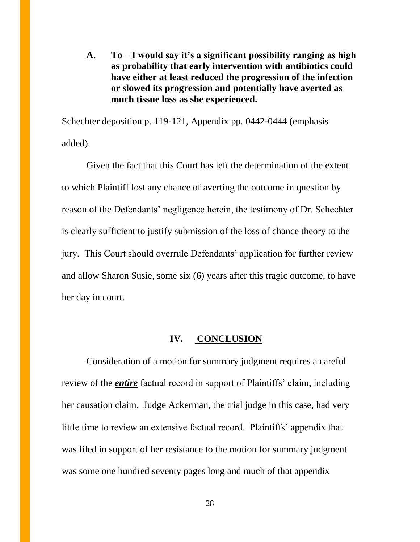**A. To – I would say it's a significant possibility ranging as high as probability that early intervention with antibiotics could have either at least reduced the progression of the infection or slowed its progression and potentially have averted as much tissue loss as she experienced.**

Schechter deposition p. 119-121, Appendix pp. 0442-0444 (emphasis added).

Given the fact that this Court has left the determination of the extent to which Plaintiff lost any chance of averting the outcome in question by reason of the Defendants' negligence herein, the testimony of Dr. Schechter is clearly sufficient to justify submission of the loss of chance theory to the jury. This Court should overrule Defendants' application for further review and allow Sharon Susie, some six (6) years after this tragic outcome, to have her day in court.

#### **IV. CONCLUSION**

Consideration of a motion for summary judgment requires a careful review of the *entire* factual record in support of Plaintiffs' claim, including her causation claim. Judge Ackerman, the trial judge in this case, had very little time to review an extensive factual record. Plaintiffs' appendix that was filed in support of her resistance to the motion for summary judgment was some one hundred seventy pages long and much of that appendix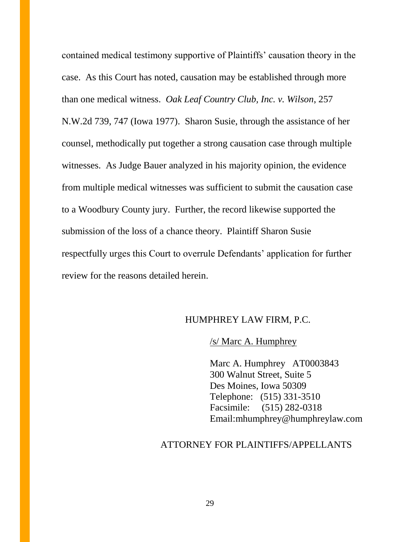contained medical testimony supportive of Plaintiffs' causation theory in the case. As this Court has noted, causation may be established through more than one medical witness. *Oak Leaf Country Club, Inc. v. Wilson*, 257 N.W.2d 739, 747 (Iowa 1977). Sharon Susie, through the assistance of her counsel, methodically put together a strong causation case through multiple witnesses. As Judge Bauer analyzed in his majority opinion, the evidence from multiple medical witnesses was sufficient to submit the causation case to a Woodbury County jury. Further, the record likewise supported the submission of the loss of a chance theory. Plaintiff Sharon Susie respectfully urges this Court to overrule Defendants' application for further review for the reasons detailed herein.

#### HUMPHREY LAW FIRM, P.C.

#### /s/ Marc A. Humphrey

Marc A. Humphrey AT0003843 300 Walnut Street, Suite 5 Des Moines, Iowa 50309 Telephone: (515) 331-3510 Facsimile: (515) 282-0318 Email:mhumphrey@humphreylaw.com

#### ATTORNEY FOR PLAINTIFFS/APPELLANTS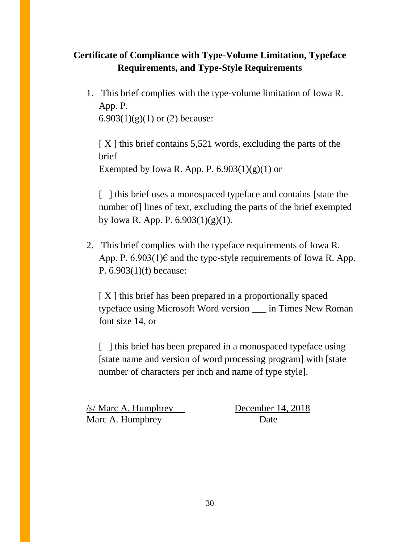## **Certificate of Compliance with Type-Volume Limitation, Typeface Requirements, and Type-Style Requirements**

1. This brief complies with the type-volume limitation of Iowa R. App. P. 6.903 $(1)(g)(1)$  or  $(2)$  because:

 $[X]$  this brief contains 5,521 words, excluding the parts of the brief Exempted by Iowa R. App. P.  $6.903(1)(g)(1)$  or

[ ] this brief uses a monospaced typeface and contains [state the number of lines of text, excluding the parts of the brief exempted by Iowa R. App. P. 6.903(1)(g)(1).

2. This brief complies with the typeface requirements of Iowa R. App. P.  $6.903(1) \text{E}$  and the type-style requirements of Iowa R. App. P. 6.903(1)(f) because:

[ X ] this brief has been prepared in a proportionally spaced typeface using Microsoft Word version \_\_\_ in Times New Roman font size 14, or

[ ] this brief has been prepared in a monospaced typeface using [state name and version of word processing program] with [state number of characters per inch and name of type style].

/s/ Marc A. Humphrey December 14, 2018 Marc A. Humphrey Date